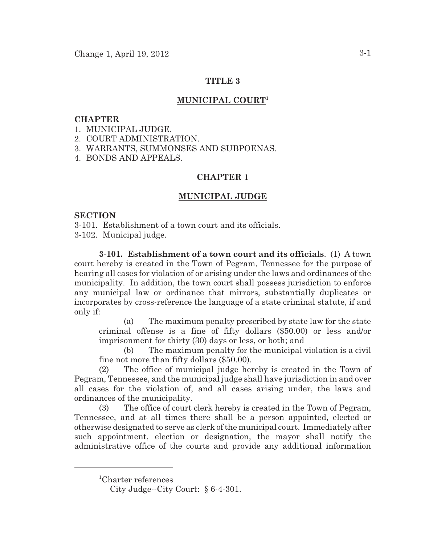# **TITLE 3**

# **MUNICIPAL COURT<sup>1</sup>**

## **CHAPTER**

1. MUNICIPAL JUDGE.

2. COURT ADMINISTRATION.

3. WARRANTS, SUMMONSES AND SUBPOENAS.

4. BONDS AND APPEALS.

## **CHAPTER 1**

# **MUNICIPAL JUDGE**

## **SECTION**

3-101. Establishment of a town court and its officials.

3-102. Municipal judge.

**3-101. Establishment of a town court and its officials**. (1) A town court hereby is created in the Town of Pegram, Tennessee for the purpose of hearing all cases for violation of or arising under the laws and ordinances of the municipality. In addition, the town court shall possess jurisdiction to enforce any municipal law or ordinance that mirrors, substantially duplicates or incorporates by cross-reference the language of a state criminal statute, if and only if:

(a) The maximum penalty prescribed by state law for the state criminal offense is a fine of fifty dollars (\$50.00) or less and/or imprisonment for thirty (30) days or less, or both; and

(b) The maximum penalty for the municipal violation is a civil fine not more than fifty dollars (\$50.00).

(2) The office of municipal judge hereby is created in the Town of Pegram, Tennessee, and the municipal judge shall have jurisdiction in and over all cases for the violation of, and all cases arising under, the laws and ordinances of the municipality.

(3) The office of court clerk hereby is created in the Town of Pegram, Tennessee, and at all times there shall be a person appointed, elected or otherwise designated to serve as clerk of the municipal court. Immediately after such appointment, election or designation, the mayor shall notify the administrative office of the courts and provide any additional information

<sup>&</sup>lt;sup>1</sup>Charter references

City Judge--City Court: § 6-4-301.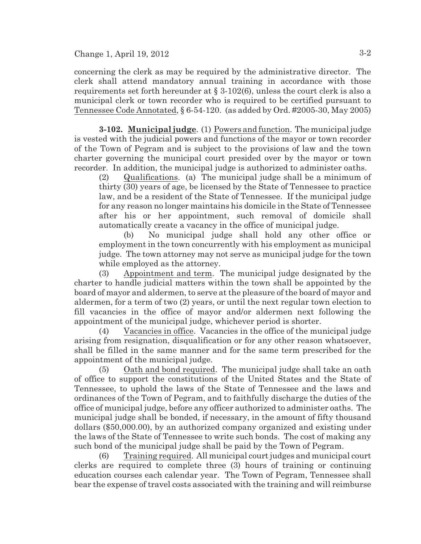concerning the clerk as may be required by the administrative director. The clerk shall attend mandatory annual training in accordance with those requirements set forth hereunder at § 3-102(6), unless the court clerk is also a municipal clerk or town recorder who is required to be certified pursuant to Tennessee Code Annotated, § 6-54-120. (as added by Ord. #2005-30, May 2005)

**3-102. Municipal judge**. (1) Powers and function. The municipal judge is vested with the judicial powers and functions of the mayor or town recorder of the Town of Pegram and is subject to the provisions of law and the town charter governing the municipal court presided over by the mayor or town recorder. In addition, the municipal judge is authorized to administer oaths.

(2) Qualifications. (a) The municipal judge shall be a minimum of thirty (30) years of age, be licensed by the State of Tennessee to practice law, and be a resident of the State of Tennessee. If the municipal judge for any reason no longer maintains his domicile in the State of Tennessee after his or her appointment, such removal of domicile shall automatically create a vacancy in the office of municipal judge.

(b) No municipal judge shall hold any other office or employment in the town concurrently with his employment as municipal judge. The town attorney may not serve as municipal judge for the town while employed as the attorney.

(3) Appointment and term. The municipal judge designated by the charter to handle judicial matters within the town shall be appointed by the board of mayor and aldermen, to serve at the pleasure of the board of mayor and aldermen, for a term of two (2) years, or until the next regular town election to fill vacancies in the office of mayor and/or aldermen next following the appointment of the municipal judge, whichever period is shorter.

(4) Vacancies in office. Vacancies in the office of the municipal judge arising from resignation, disqualification or for any other reason whatsoever, shall be filled in the same manner and for the same term prescribed for the appointment of the municipal judge.

(5) Oath and bond required. The municipal judge shall take an oath of office to support the constitutions of the United States and the State of Tennessee, to uphold the laws of the State of Tennessee and the laws and ordinances of the Town of Pegram, and to faithfully discharge the duties of the office of municipal judge, before any officer authorized to administer oaths. The municipal judge shall be bonded, if necessary, in the amount of fifty thousand dollars (\$50,000.00), by an authorized company organized and existing under the laws of the State of Tennessee to write such bonds. The cost of making any such bond of the municipal judge shall be paid by the Town of Pegram.

(6) Training required. All municipal court judges and municipal court clerks are required to complete three (3) hours of training or continuing education courses each calendar year. The Town of Pegram, Tennessee shall bear the expense of travel costs associated with the training and will reimburse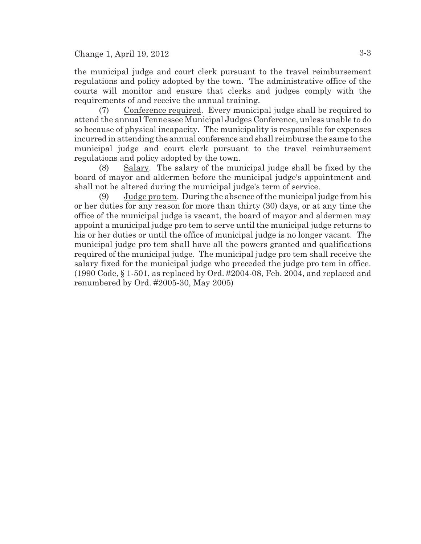the municipal judge and court clerk pursuant to the travel reimbursement regulations and policy adopted by the town. The administrative office of the courts will monitor and ensure that clerks and judges comply with the requirements of and receive the annual training.

(7) Conference required. Every municipal judge shall be required to attend the annual Tennessee Municipal Judges Conference, unless unable to do so because of physical incapacity. The municipality is responsible for expenses incurred in attending the annual conference and shall reimburse the same to the municipal judge and court clerk pursuant to the travel reimbursement regulations and policy adopted by the town.

(8) Salary. The salary of the municipal judge shall be fixed by the board of mayor and aldermen before the municipal judge's appointment and shall not be altered during the municipal judge's term of service.

(9) Judge pro tem. During the absence of the municipal judge from his or her duties for any reason for more than thirty (30) days, or at any time the office of the municipal judge is vacant, the board of mayor and aldermen may appoint a municipal judge pro tem to serve until the municipal judge returns to his or her duties or until the office of municipal judge is no longer vacant. The municipal judge pro tem shall have all the powers granted and qualifications required of the municipal judge. The municipal judge pro tem shall receive the salary fixed for the municipal judge who preceded the judge pro tem in office. (1990 Code, § 1-501, as replaced by Ord. #2004-08, Feb. 2004, and replaced and renumbered by Ord. #2005-30, May 2005)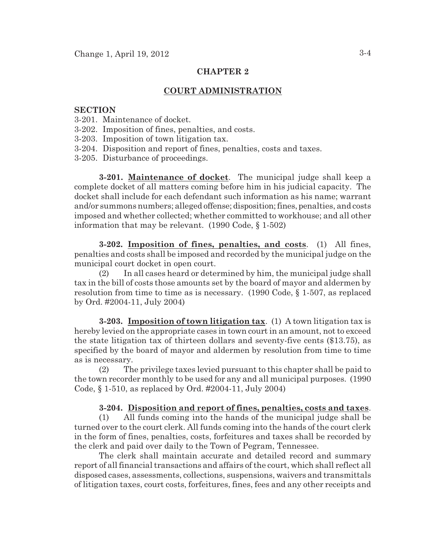## **CHAPTER 2**

## **COURT ADMINISTRATION**

#### **SECTION**

- 3-201. Maintenance of docket.
- 3-202. Imposition of fines, penalties, and costs.
- 3-203. Imposition of town litigation tax.
- 3-204. Disposition and report of fines, penalties, costs and taxes.
- 3-205. Disturbance of proceedings.

**3-201. Maintenance of docket**. The municipal judge shall keep a complete docket of all matters coming before him in his judicial capacity. The docket shall include for each defendant such information as his name; warrant and/or summons numbers; alleged offense; disposition; fines, penalties, and costs imposed and whether collected; whether committed to workhouse; and all other information that may be relevant. (1990 Code, § 1-502)

**3-202. Imposition of fines, penalties, and costs**. (1) All fines, penalties and costs shall be imposed and recorded by the municipal judge on the municipal court docket in open court.

(2) In all cases heard or determined by him, the municipal judge shall tax in the bill of costs those amounts set by the board of mayor and aldermen by resolution from time to time as is necessary. (1990 Code, § 1-507, as replaced by Ord. #2004-11, July 2004)

**3-203. Imposition of town litigation tax**. (1) A town litigation tax is hereby levied on the appropriate cases in town court in an amount, not to exceed the state litigation tax of thirteen dollars and seventy-five cents (\$13.75), as specified by the board of mayor and aldermen by resolution from time to time as is necessary.

(2) The privilege taxes levied pursuant to this chapter shall be paid to the town recorder monthly to be used for any and all municipal purposes. (1990 Code, § 1-510, as replaced by Ord. #2004-11, July 2004)

#### **3-204. Disposition and report of fines, penalties, costs and taxes**.

(1) All funds coming into the hands of the municipal judge shall be turned over to the court clerk. All funds coming into the hands of the court clerk in the form of fines, penalties, costs, forfeitures and taxes shall be recorded by the clerk and paid over daily to the Town of Pegram, Tennessee.

The clerk shall maintain accurate and detailed record and summary report of all financial transactions and affairs of the court, which shall reflect all disposed cases, assessments, collections, suspensions, waivers and transmittals of litigation taxes, court costs, forfeitures, fines, fees and any other receipts and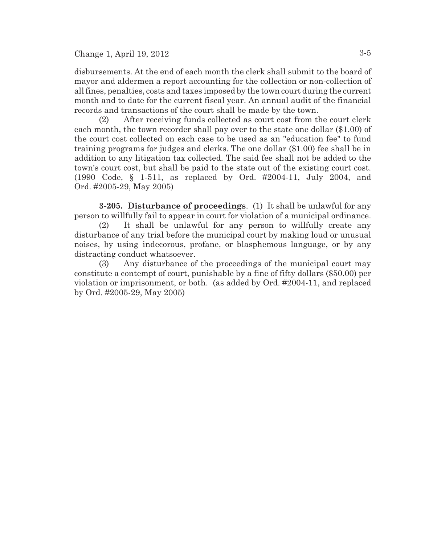Change 1, April 19, 2012  $3-5$ 

disbursements. At the end of each month the clerk shall submit to the board of mayor and aldermen a report accounting for the collection or non-collection of all fines, penalties, costs and taxes imposed by the town court during the current month and to date for the current fiscal year. An annual audit of the financial records and transactions of the court shall be made by the town.

(2) After receiving funds collected as court cost from the court clerk each month, the town recorder shall pay over to the state one dollar (\$1.00) of the court cost collected on each case to be used as an "education fee" to fund training programs for judges and clerks. The one dollar (\$1.00) fee shall be in addition to any litigation tax collected. The said fee shall not be added to the town's court cost, but shall be paid to the state out of the existing court cost. (1990 Code, § 1-511, as replaced by Ord. #2004-11, July 2004, and Ord. #2005-29, May 2005)

**3-205. Disturbance of proceedings**. (1) It shall be unlawful for any person to willfully fail to appear in court for violation of a municipal ordinance.

(2) It shall be unlawful for any person to willfully create any disturbance of any trial before the municipal court by making loud or unusual noises, by using indecorous, profane, or blasphemous language, or by any distracting conduct whatsoever.

(3) Any disturbance of the proceedings of the municipal court may constitute a contempt of court, punishable by a fine of fifty dollars (\$50.00) per violation or imprisonment, or both. (as added by Ord. #2004-11, and replaced by Ord. #2005-29, May 2005)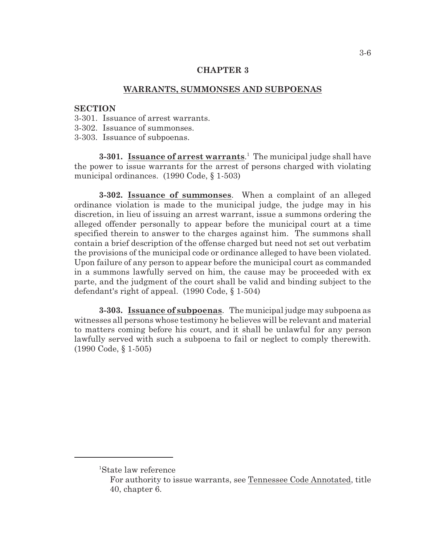## **CHAPTER 3**

## **WARRANTS, SUMMONSES AND SUBPOENAS**

## **SECTION**

- 3-301. Issuance of arrest warrants.
- 3-302. Issuance of summonses.
- 3-303. Issuance of subpoenas.

**3-301. Issuance of arrest warrants**.<sup>1</sup> The municipal judge shall have the power to issue warrants for the arrest of persons charged with violating municipal ordinances. (1990 Code, § 1-503)

**3-302. Issuance of summonses**. When a complaint of an alleged ordinance violation is made to the municipal judge, the judge may in his discretion, in lieu of issuing an arrest warrant, issue a summons ordering the alleged offender personally to appear before the municipal court at a time specified therein to answer to the charges against him. The summons shall contain a brief description of the offense charged but need not set out verbatim the provisions of the municipal code or ordinance alleged to have been violated. Upon failure of any person to appear before the municipal court as commanded in a summons lawfully served on him, the cause may be proceeded with ex parte, and the judgment of the court shall be valid and binding subject to the defendant's right of appeal. (1990 Code, § 1-504)

**3-303. Issuance of subpoenas**. The municipal judge may subpoena as witnesses all persons whose testimony he believes will be relevant and material to matters coming before his court, and it shall be unlawful for any person lawfully served with such a subpoena to fail or neglect to comply therewith. (1990 Code, § 1-505)

<sup>&</sup>lt;sup>1</sup>State law reference

For authority to issue warrants, see Tennessee Code Annotated, title 40, chapter 6.